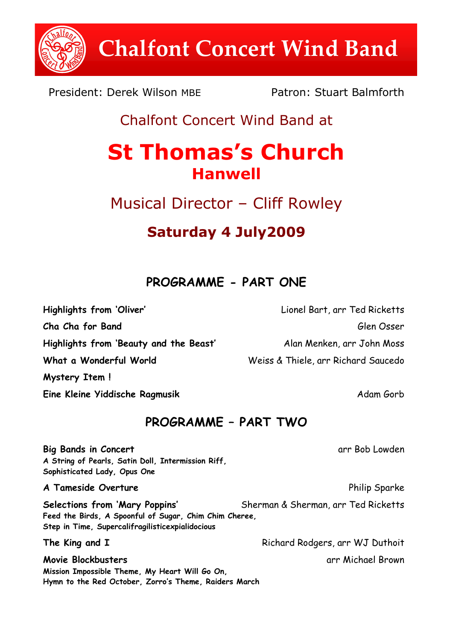**Chalfont Concert Wind Band**

President: Derek Wilson MBE Patron: Stuart Balmforth

## Chalfont Concert Wind Band at

# **St Thomas's Church Hanwell**

Musical Director – Cliff Rowley

# **Saturday 4 July2009**

#### **PROGRAMME - PART ONE**

**Mystery Item !**

**Eine Kleine Yiddische Ragmusik and Adam Gorb Adam Gorb** 

### **PROGRAMME – PART TWO**

**Big Bands in Concert** and The Bob Lowden arr Bob Lowden **A String of Pearls, Satin Doll, Intermission Riff, Sophisticated Lady, Opus One A Tameside Overture Philip Sparke** Philip Sparke **Selections from 'Mary Poppins'** Sherman & Sherman, arr Ted Ricketts **Feed the Birds, A Spoonful of Sugar, Chim Chim Cheree,**

**Step in Time, Supercalifragilisticexpialidocious**

**Movie Blockbusters** and the state of the state of the state of the state of the state of the state of the state of the state of the state of the state of the state of the state of the state of the state of the state of th **Mission Impossible Theme, My Heart Will Go On, Hymn to the Red October, Zorro's Theme, Raiders March**

**Highlights from 'Oliver'** Lionel Bart, arr Ted Ricketts **Cha Cha for Band** Glen Osser **Highlights from 'Beauty and the Beast'** Alan Menken, arr John Moss **What a Wonderful World** Weiss & Thiele, arr Richard Saucedo

**The King and I** Richard Rodgers, arr WJ Duthoit